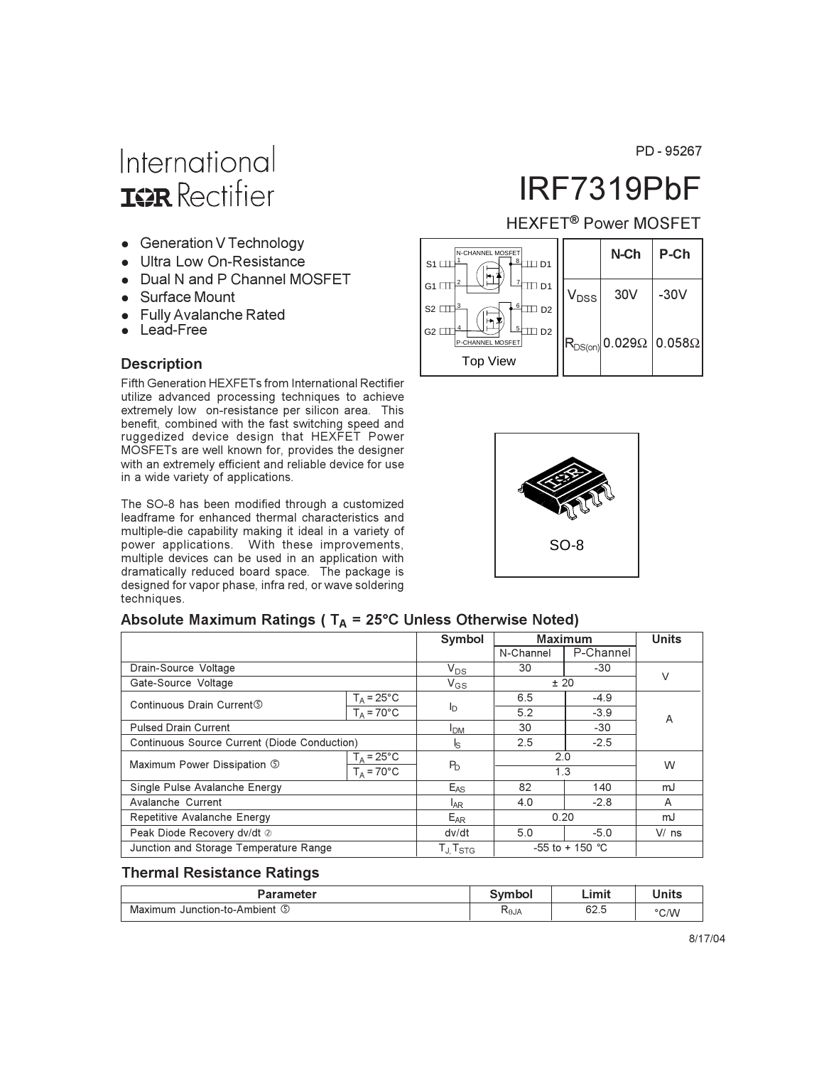PD-95267

# International **ISR** Rectifier

- Generation V Technology
- Ultra Low On-Resistance
- Dual N and P Channel MOSFET
- Surface Mount
- Fully Avalanche Rated
- Lead-Free

#### **Description**

Fifth Generation HEXFETs from International Rectifier utilize advanced processing techniques to achieve extremely low on-resistance per silicon area. This benefit, combined with the fast switching speed and ruggedized device design that HEXFET Power MOSFETs are well known for, provides the designer with an extremely efficient and reliable device for use in a wide variety of applications.

The SO-8 has been modified through a customized leadframe for enhanced thermal characteristics and multiple-die capability making it ideal in a variety of power applications. With these improvements, multiple devices can be used in an application with dramatically reduced board space. The package is designed for vapor phase, infra red, or wave soldering techniques.

# IRF7319PbF

## HEXFET<sup>®</sup> Power MOSFET





#### Absolute Maximum Ratings ( $T_A = 25^{\circ}$ C Unless Otherwise Noted)

|                                              |                                           |                        |           | <b>Maximum</b>            | <b>Units</b> |
|----------------------------------------------|-------------------------------------------|------------------------|-----------|---------------------------|--------------|
|                                              |                                           |                        | N-Channel | P-Channel                 |              |
| Drain-Source Voltage                         |                                           | $V_{DS}$               | 30        | $-30$                     | V            |
| Gate-Source Voltage                          |                                           | $V_{GS}$               | ± 20      |                           |              |
| Continuous Drain Current 5                   | $T_A = 25^{\circ}C$                       |                        | 6.5       | $-4.9$                    | A            |
|                                              | $T_A = 70^{\circ}$ C                      | I <sub>D</sub>         | 5.2       | $-3.9$                    |              |
| <b>Pulsed Drain Current</b>                  |                                           | <b>I</b> <sub>DM</sub> | 30        | $-30$                     |              |
| Continuous Source Current (Diode Conduction) |                                           | ls.                    | 2.5       | $-2.5$                    |              |
| Maximum Power Dissipation 5                  | $T_A = 25^{\circ}C$<br>2.0<br>$P_{\rm D}$ |                        |           | W                         |              |
|                                              | $T_A = 70^{\circ}$ C                      |                        | 1.3       |                           |              |
| Single Pulse Avalanche Energy                |                                           | $E_{AS}$               | 82        | 140                       | mJ           |
| Avalanche Current                            |                                           | <sup>I</sup> AR        | 4.0       | $-2.8$                    | A            |
| Repetitive Avalanche Energy                  |                                           | E <sub>AR</sub>        | 0.20      |                           | mJ           |
| Peak Diode Recovery dv/dt 2                  |                                           | dv/dt                  | 5.0       | $-5.0$                    | $V/$ ns      |
| Junction and Storage Temperature Range       |                                           | $T_J$ , $T_{STG}$      |           | -55 to + 150 $^{\circ}$ C |              |

#### **Thermal Resistance Ratings**

| Parameter                                         | <b>Symphon</b> | .<br>-imit | Units |
|---------------------------------------------------|----------------|------------|-------|
| $\sqrt{2}$<br>Junction-to-Ambient<br>Maximum<br>ಲ | $R_{\theta$ JA | 62.5       | °C/W  |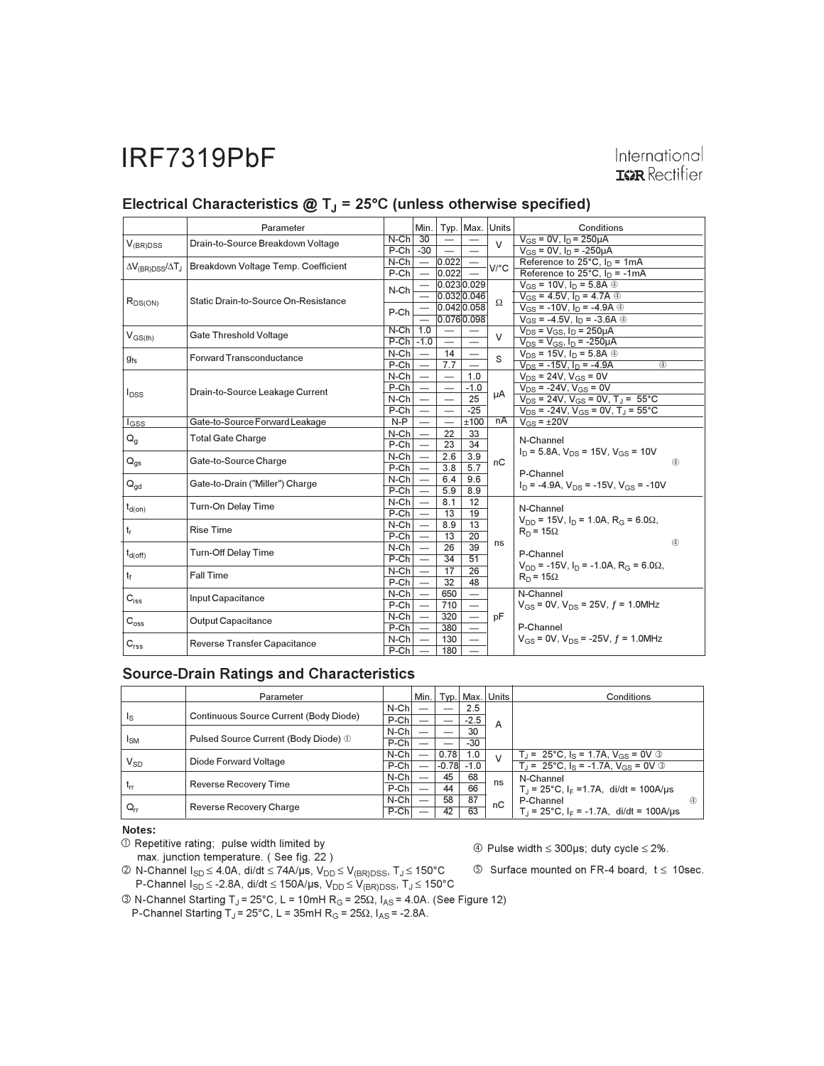# International **IGR** Rectifier

|                                           | Parameter                            |                   |                                 |                                   | Min.   Typ.   Max.   Units |                                     | Conditions                                                  |  |  |
|-------------------------------------------|--------------------------------------|-------------------|---------------------------------|-----------------------------------|----------------------------|-------------------------------------|-------------------------------------------------------------|--|--|
| $V_{(BR)DSS}$                             | Drain-to-Source Breakdown Voltage    | $N-Ch$ 30         |                                 |                                   |                            | V                                   | $V_{GS} = 0V$ , $I_D = 250 \mu A$                           |  |  |
|                                           |                                      | $P-Ch$ $-30$      |                                 | $\overline{\phantom{0}}$          | $\equiv$                   |                                     | $V_{GS}$ = 0V, $I_D$ = -250µA                               |  |  |
| $\Delta V_{\rm (BR)DSS}/\Delta T_{\rm J}$ | Breakdown Voltage Temp. Coefficient  | $N$ -Ch $\vert -$ |                                 | 0.022                             |                            | $V$ <sup><math>\circ</math></sup> C | Reference to $25^{\circ}$ C, $I_{D} = 1 \text{mA}$          |  |  |
|                                           |                                      | $P-Ch$            | $\equiv$                        | 0.022                             |                            |                                     | Reference to 25°C, $I_D = -1mA$                             |  |  |
|                                           |                                      | N-Ch              |                                 |                                   | 0.0230.029                 |                                     | $V_{GS}$ = 10V, $I_D$ = 5.8A $\circledcirc$                 |  |  |
|                                           | Static Drain-to-Source On-Resistance |                   |                                 |                                   | 0.0320.046                 | $\Omega$                            | $V_{GS} = 4.5V$ , $I_D = 4.7A$ 4                            |  |  |
| $R_{DS(ON)}$                              |                                      | P-Ch              |                                 |                                   | 0.042 0.058                |                                     | $V_{GS}$ = -10V, $I_D$ = -4.9A $\circledR$                  |  |  |
|                                           |                                      |                   |                                 |                                   | 0.0760.098                 |                                     | $V_{GS}$ = -4.5V, $I_D$ = -3.6A $\circledcirc$              |  |  |
| $V_{GS(th)}$                              | Gate Threshold Voltage               | $N-Ch$ 1.0        |                                 | $\overline{\phantom{a}}$          |                            | V                                   | $V_{DS} = V_{GS}$ , $I_D = 250 \mu A$                       |  |  |
|                                           |                                      | $P-Ch$ -1.0       |                                 | $\overline{\phantom{m}}$          | $\overline{\phantom{0}}$   |                                     | $V_{DS} = V_{GS}$ , $I_D = -250 \mu A$                      |  |  |
|                                           | <b>Forward Transconductance</b>      | $N$ -Ch           | $\overline{\phantom{m}}$        | 14                                |                            | S                                   | $V_{DS}$ = 15V, $I_D$ = 5.8A $\circledcirc$                 |  |  |
| $g_{fs}$                                  |                                      | $P-Ch$            | $\overline{\phantom{m}}$        | 7.7                               |                            |                                     | $V_{DS}$ = -15V, $I_D$ = -4.9A<br>$\overline{a}$            |  |  |
|                                           |                                      | $N-Ch$ –          |                                 | $\overline{\phantom{m}}$          | 1.0                        |                                     | $V_{DS}$ = 24V, $V_{GS}$ = 0V                               |  |  |
|                                           | Drain-to-Source Leakage Current      | $P-Ch$ –          |                                 | $\overbrace{\phantom{123221111}}$ | $-1.0$                     |                                     | $V_{DS}$ = -24V, $V_{GS}$ = 0V                              |  |  |
| $I_{DSS}$                                 |                                      | $N$ -Ch $\vert$   | $\hspace{0.1mm}-\hspace{0.1mm}$ | $\overline{\phantom{0}}$          | 25                         | μA                                  | $V_{DS}$ = 24V, $V_{GS}$ = 0V, T <sub>J</sub> = 55°C        |  |  |
|                                           |                                      | $P-Ch$            | $\hspace{0.1mm}-\hspace{0.1mm}$ |                                   | $-25$                      |                                     | $V_{DS}$ = -24V, $V_{GS}$ = 0V, T <sub>J</sub> = 55°C       |  |  |
| $I_{GSS}$                                 | Gate-to-Source Forward Leakage       | $N-P$             | $\overline{\phantom{a}}$        |                                   | ±100                       | nA                                  | $V_{GS} = \pm 20V$                                          |  |  |
| $\mathsf{Q}_{\mathsf{g}}$                 | <b>Total Gate Charge</b>             | $N$ -Ch $\vert$   | $\hspace{0.1mm}-\hspace{0.1mm}$ | 22                                | 33                         |                                     | N-Channel                                                   |  |  |
|                                           |                                      | $P-Ch$            |                                 | 23                                | 34                         |                                     |                                                             |  |  |
| $Q_{qs}$                                  | Gate-to-Source Charge                | $N$ -Ch           |                                 | 2.6                               | 3.9                        | nC                                  | $I_D$ = 5.8A, $V_{DS}$ = 15V, $V_{GS}$ = 10V<br>$\circledA$ |  |  |
|                                           |                                      | $P-Ch$            |                                 | 3.8                               | 5.7                        |                                     | P-Channel                                                   |  |  |
| $Q_{gd}$                                  | Gate-to-Drain ("Miller") Charge      | $N$ -Ch           |                                 | 6.4                               | 9.6                        |                                     | $I_D$ = -4.9A, $V_{DS}$ = -15V, $V_{GS}$ = -10V             |  |  |
|                                           |                                      | $P-Ch$            |                                 | 5.9                               | 8.9                        |                                     |                                                             |  |  |
|                                           | Turn-On Delay Time                   | $N$ -Ch $\vert -$ |                                 | 8.1                               | 12                         |                                     |                                                             |  |  |
| $t_{d(on)}$                               |                                      | $P-Ch$            | $\overline{\phantom{0}}$        | 13                                | 19                         |                                     | N-Channel                                                   |  |  |
| $t_r$                                     | <b>Rise Time</b>                     | $N$ -Ch           |                                 | 8.9                               | 13                         |                                     | $V_{DD}$ = 15V, $I_D$ = 1.0A, $R_G$ = 6.0 $\Omega$ ,        |  |  |
|                                           |                                      | $P-Ch$            | $\overline{\phantom{0}}$        | 13                                | 20                         |                                     | $R_D = 15\Omega$<br>(4)                                     |  |  |
| $t_{d(Off)}$                              | <b>Turn-Off Delay Time</b>           | $N$ -Ch           | $\overline{\phantom{0}}$        | 26                                | 39                         | ns                                  | P-Channel                                                   |  |  |
|                                           |                                      | $P-Ch$            | $\overline{\phantom{0}}$        | 34                                | 51                         |                                     | $V_{DD}$ = -15V, $I_D$ = -1.0A, $R_G$ = 6.0 $\Omega$ ,      |  |  |
| tr                                        | Fall Time                            | $N$ -Ch           | $\overline{\phantom{m}}$        | 17                                | 26                         |                                     | $R_D = 15\Omega$                                            |  |  |
|                                           |                                      | $P-Ch$            | $\overline{\phantom{a}}$        | 32                                | 48                         |                                     |                                                             |  |  |
| $C_{iss}$                                 | Input Capacitance                    | $N$ -Ch           | $\overline{\phantom{a}}$        | 650                               |                            |                                     | N-Channel                                                   |  |  |
|                                           |                                      | $P-Ch$ –          |                                 | 710                               |                            |                                     | $V_{GS}$ = 0V, $V_{DS}$ = 25V, $f$ = 1.0MHz                 |  |  |
| $\mathsf{C}_{\text{oss}}$                 | <b>Output Capacitance</b>            | $N$ -Ch $ $       | $\overline{\phantom{a}}$        | 320                               | $\overline{\phantom{0}}$   | pF                                  |                                                             |  |  |
|                                           |                                      | $P-Ch$ —          |                                 | 380                               |                            |                                     | P-Channel                                                   |  |  |
|                                           | Reverse Transfer Capacitance         | $N-Ch$ —          |                                 | 130                               |                            |                                     | $V_{GS}$ = 0V, $V_{DS}$ = -25V, $f$ = 1.0MHz                |  |  |
| $C_{rss}$                                 |                                      | $P-Ch$ –          |                                 | 180                               |                            |                                     |                                                             |  |  |

# Electrical Characteristics  $@T_J = 25°C$  (unless otherwise specified)

#### **Source-Drain Ratings and Characteristics**

|                 | Parameter                              |         | Min. |         |        | Typ.   Max.   Units | Conditions                                                     |
|-----------------|----------------------------------------|---------|------|---------|--------|---------------------|----------------------------------------------------------------|
|                 | Continuous Source Current (Body Diode) | $N$ -Ch |      |         | 2.5    |                     |                                                                |
| Is              |                                        | P-Ch    |      |         | $-2.5$ | A                   |                                                                |
|                 |                                        | $N$ -Ch |      |         | 30     |                     |                                                                |
| <sup>I</sup> SM | Pulsed Source Current (Body Diode) 1   | P-Ch    |      |         | $-30$  |                     |                                                                |
|                 |                                        | $N$ -Ch |      | 0.78    | 1.0    | $\vee$              | $T_1 = 25^{\circ}C$ , $I_S = 1.7A$ , $V_{GS} = 0V$ 3           |
| $V_{SD}$        | Diode Forward Voltage                  | $P-Ch$  |      | $-0.78$ | $-1.0$ |                     | $T_1 = 25^{\circ}C$ , $I_S = -1.7A$ , $V_{GS} = 0V$ 3          |
|                 |                                        | $N$ -Ch |      | 45      | 68     | ns                  | N-Channel                                                      |
| $t_{rr}$        | Reverse Recovery Time                  | $P-Ch$  |      | 44      | 66     |                     | $T_{\parallel}$ = 25°C, I <sub>F</sub> = 1.7A, di/dt = 100A/µs |
|                 |                                        | $N$ -Ch |      | 58      | 87     | nC                  | P-Channel<br>40                                                |
| $Q_{rr}$        | Reverse Recovery Charge                | P-Ch    |      | 42      | 63     |                     | $T_1 = 25^{\circ}$ C, I <sub>F</sub> = -1.7A, di/dt = 100A/us  |

#### Notes:

 $\mathbb O$  Repetitive rating; pulse width limited by

max. junction temperature. (See fig. 22)

 $\circled{4}$  Pulse width  $\leq$  300µs; duty cycle  $\leq$  2%.

2 N-Channel I<sub>SD</sub> ≤ 4.0A, di/dt ≤ 74A/µs, V<sub>DD</sub> ≤ V<sub>(BR)DSS</sub>, T<sub>J</sub> ≤ 150°C<br>P-Channel I<sub>SD</sub> ≤ -2.8A, di/dt ≤ 150A/µs, V<sub>DD</sub> ≤ V<sub>(BR)DSS</sub>, T<sub>J</sub> ≤ 150°C

 $\circled{S}$  Surface mounted on FR-4 board,  $t \leq 10$ sec.

® N-Channel Starting T<sub>J</sub> = 25°C, L = 10mH R<sub>G</sub> = 25Ω, I<sub>AS</sub> = 4.0A. (See Figure 12)<br>P-Channel Starting T<sub>J</sub> = 25°C, L = 35mH R<sub>G</sub> = 25Ω, I<sub>AS</sub> = -2.8A.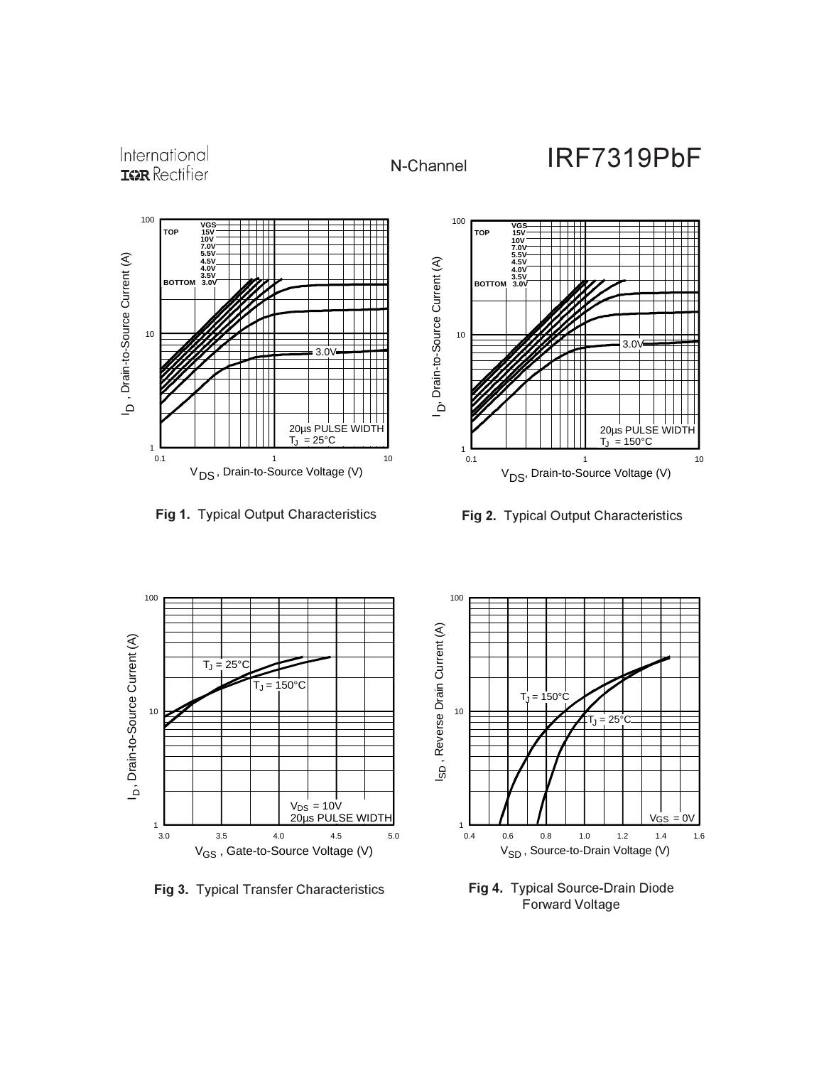



**Fig 1.** Typical Output Characteristics **Fig 2.** Typical Output Characteristics





Fig 3. Typical Transfer Characteristics



Fig 4. Typical Source-Drain Diode Forward Voltage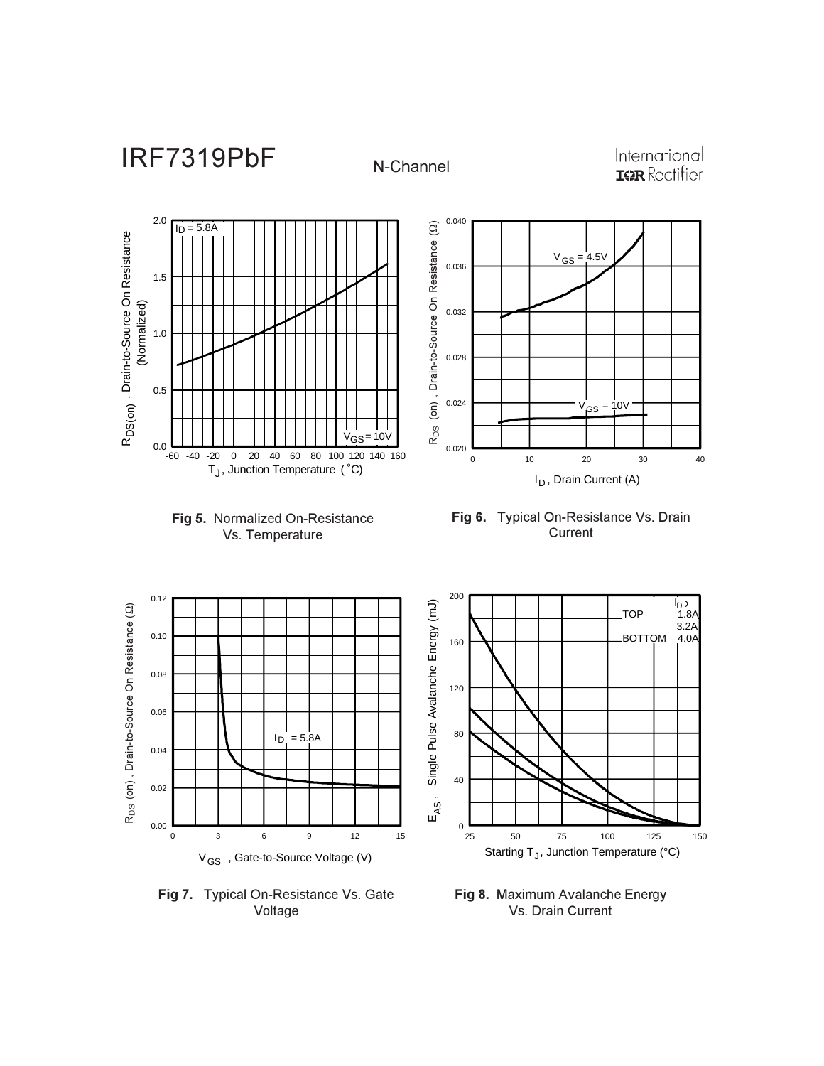N-Channel

International **IGR** Rectifier







I<sub>D</sub>, Drain Current (A)

 $V_{GS} = 4.5V$ 

 $G<sub>S</sub> = 10V$ 



Fig 7. Typical On-Resistance Vs. Gate Voltage



Fig 8. Maximum Avalanche Energy Vs. Drain Current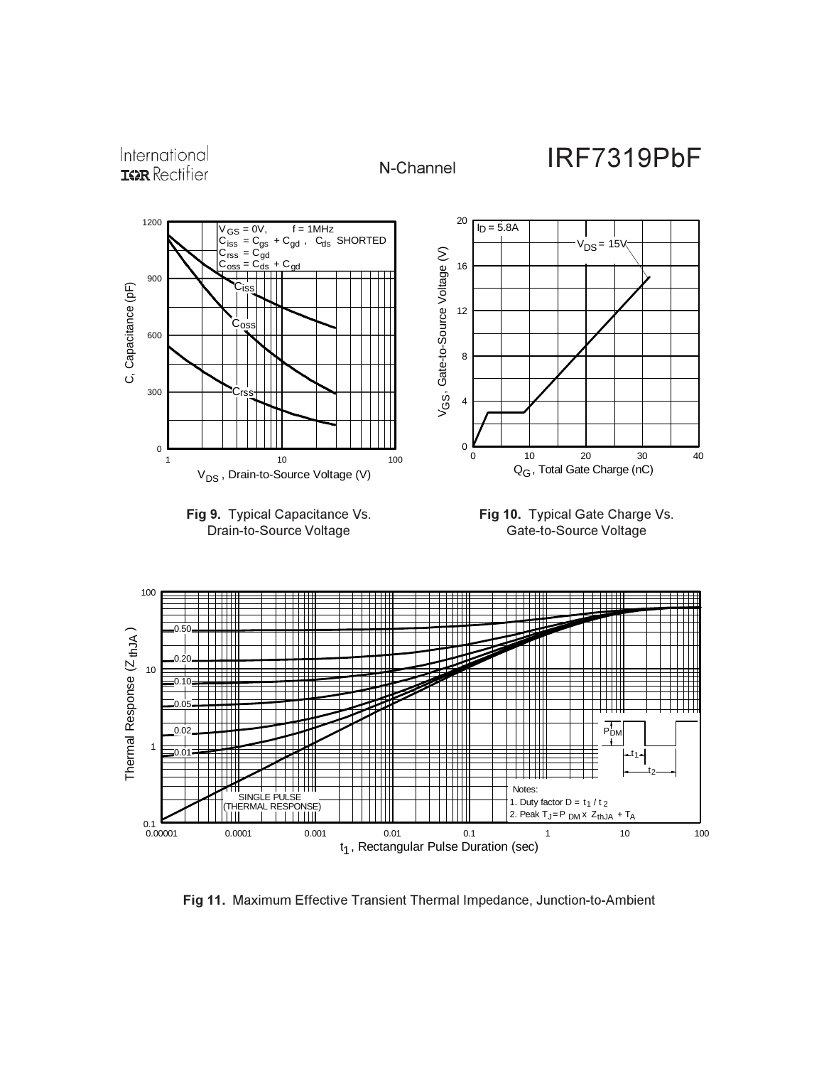

Fig 11. Maximum Effective Transient Thermal Impedance, Junction-to-Ambient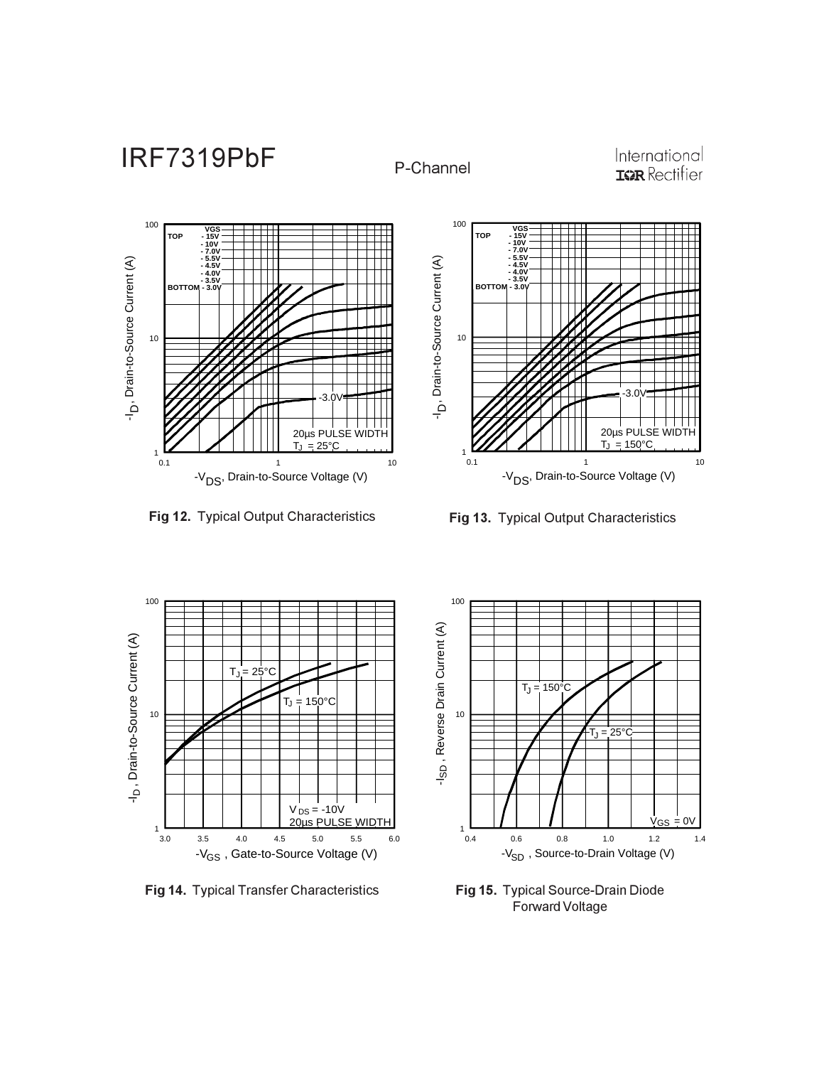P-Channel

International<br>**IGR** Rectifier



**Fig 12. Typical Output Characteristics** 



Fig 13. Typical Output Characteristics



**Fig 14. Typical Transfer Characteristics** 



Fig 15. Typical Source-Drain Diode Forward Voltage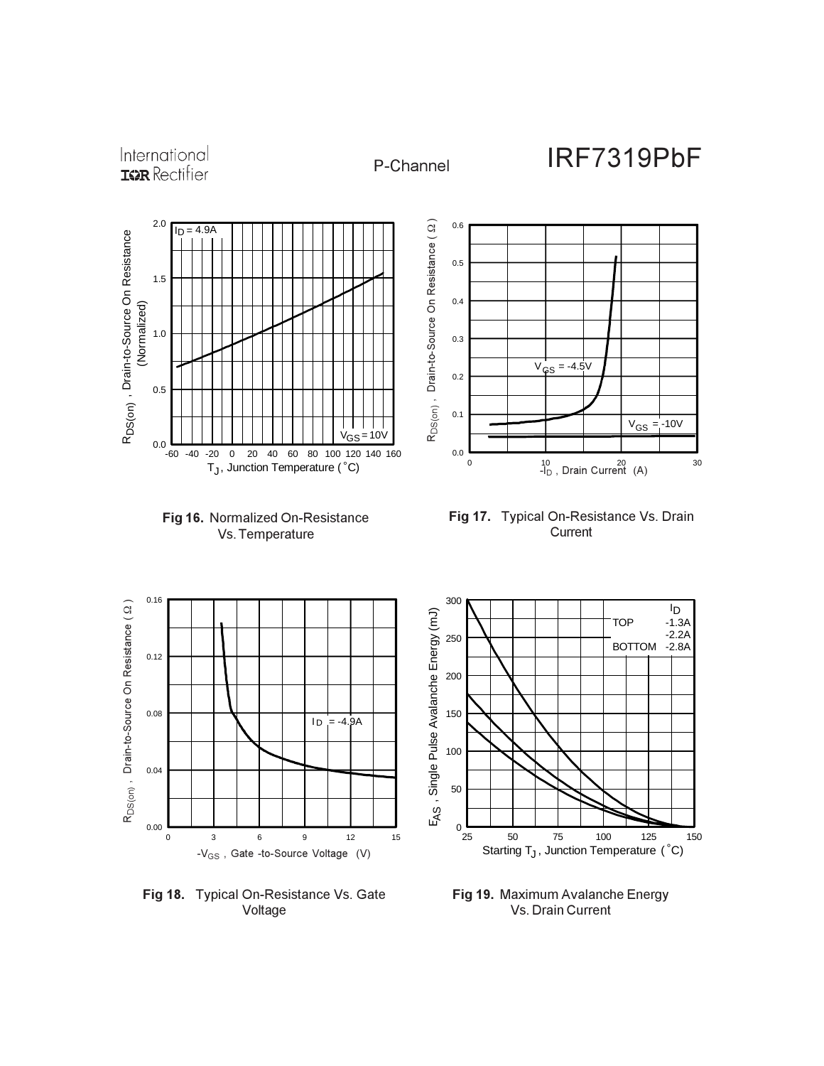International **IGR** Rectifier







Fig 17. Typical On-Resistance Vs. Drain Current



**Fig 18.** Typical On-Resistance Vs. Gate Voltage



Fig 19. Maximum Avalanche Energy Vs. Drain Current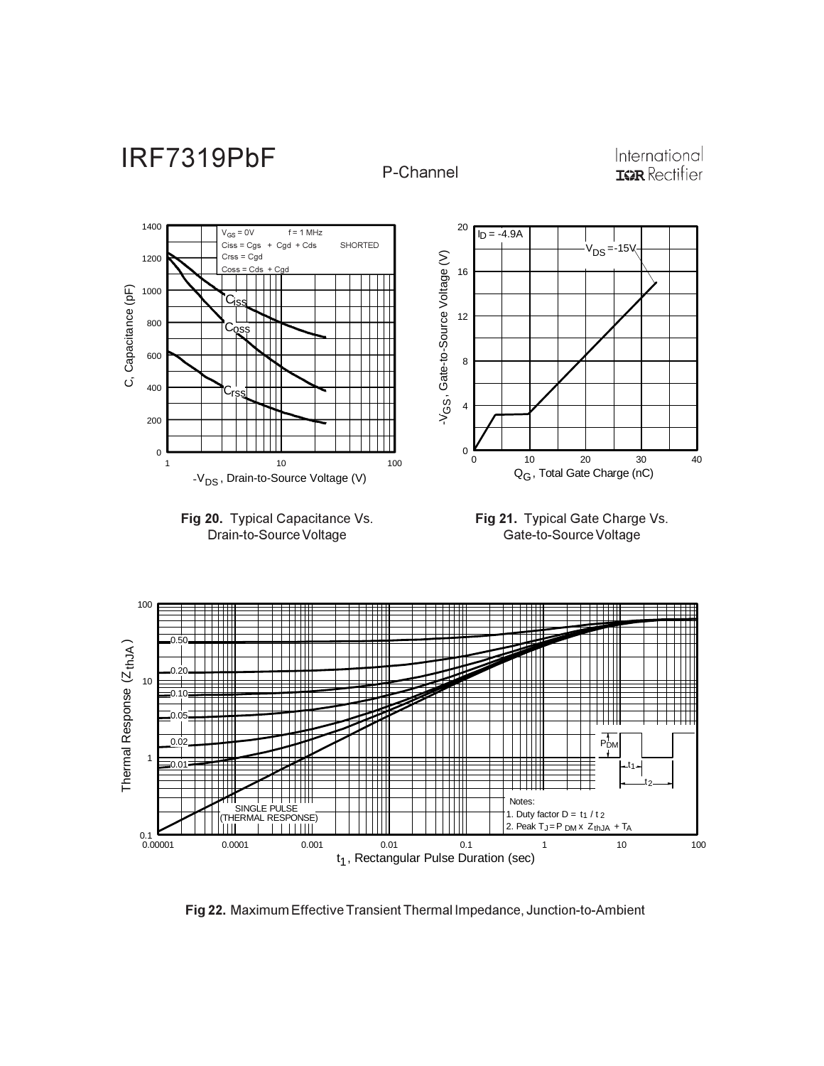

Fig 22. Maximum Effective Transient Thermal Impedance, Junction-to-Ambient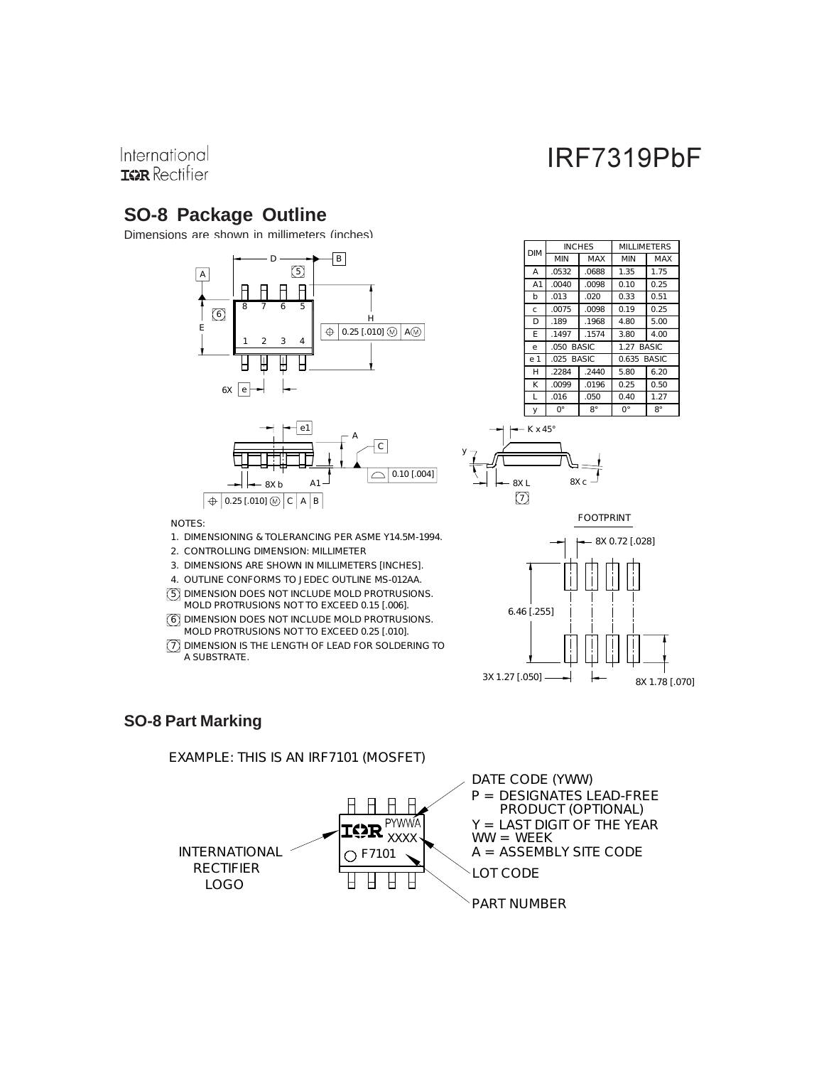## International **IGR** Rectifier

# **SO-8 Package Outline**

Dimensions are shown in millimeters (inches)





| <b>DIM</b>     | <b>INCHES</b> |              | MILLIMETERS           |      |  |  |
|----------------|---------------|--------------|-----------------------|------|--|--|
|                | MIN<br>MAX    |              | MIN                   | MAX  |  |  |
| Α              | .0532         | .0688        | 1.35                  | 1.75 |  |  |
| A <sub>1</sub> | .0040         | .0098        | 0.10                  | 0.25 |  |  |
| b              | .013          | .020         | 0.33                  | 0.51 |  |  |
| C              | .0075         | .0098        | 0.19                  | 0.25 |  |  |
| D              | .189          | .1968        | 4.80                  | 5.00 |  |  |
| F              | .1497         | .1574        | 3.80                  | 4.00 |  |  |
| e              | .050          | <b>BASIC</b> | <b>BASIC</b><br>1.27  |      |  |  |
| e 1            | $.025$ BASIC  |              | <b>BASIC</b><br>0.635 |      |  |  |
| н              | .2284         | .2440        | 5.80                  | 6.20 |  |  |
| K              | .0099         | .0196        | 0.25                  | 0.50 |  |  |
| L              | .016          | .050         | 0.40                  | 1.27 |  |  |
| У              | O°            | 8°           | 0°                    | 8°   |  |  |





### **SO-8 Part Marking**

A SUBST RATE.

NOTES:

EXAMPLE: T HIS IS AN IRF7101 (MOS FET )

4. OUT LINE CONF ORMS TO JEDEC OUT LINE MS -012AA.

5 DIMENS ION DOES NOT INCLUDE MOLD PROT RUSIONS. 6 DIMENS ION DOES NOT INCLUDE MOLD PROT RUSIONS. MOLD PROTRUS IONS NOT TO EXCEED 0.25 [.010]. 7 DIMENS ION IS THE LENGTH OF LEAD FOR SOLDERING TO

MOLD PROTRUS IONS NOT TO EXCEED 0.15 [.006].

3. DIMENS IONS ARE SHOWN IN MILLIMET ERS [INCHES].

2. CONTROLLING DIMENS ION: MILLIMETER

1. DIMENS IONING & TOLERANCING PER ASME Y14.5M-1994.